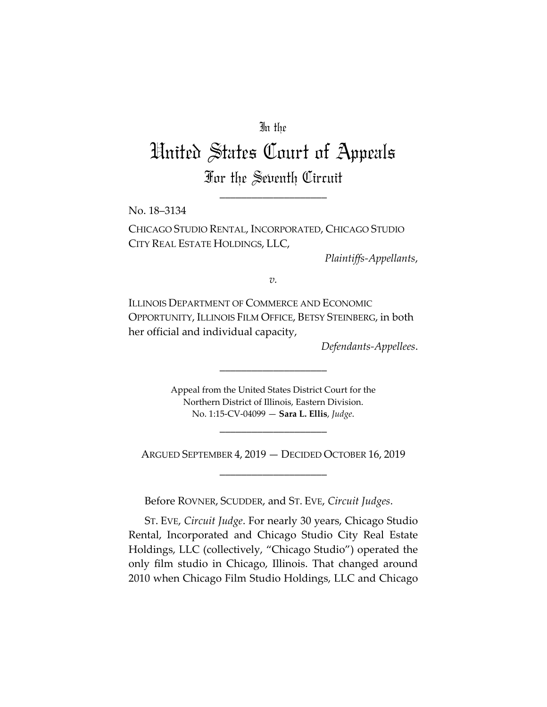## In the

# United States Court of Appeals For the Seventh Circuit

\_\_\_\_\_\_\_\_\_\_\_\_\_\_\_\_\_\_\_\_

No. 18–3134

CHICAGO STUDIO RENTAL, INCORPORATED, CHICAGO STUDIO CITY REAL ESTATE HOLDINGS, LLC,

*Plaintiffs-Appellants*,

*v.*

ILLINOIS DEPARTMENT OF COMMERCE AND ECONOMIC OPPORTUNITY, ILLINOIS FILM OFFICE, BETSY STEINBERG, in both her official and individual capacity,

*Defendants-Appellees*.

Appeal from the United States District Court for the Northern District of Illinois, Eastern Division. No. 1:15-CV-04099 — **Sara L. Ellis**, *Judge*.

\_\_\_\_\_\_\_\_\_\_\_\_\_\_\_\_\_\_\_\_

\_\_\_\_\_\_\_\_\_\_\_\_\_\_\_\_\_\_\_\_

ARGUED SEPTEMBER 4, 2019 — DECIDED OCTOBER 16, 2019 \_\_\_\_\_\_\_\_\_\_\_\_\_\_\_\_\_\_\_\_

Before ROVNER, SCUDDER, and ST. EVE, *Circuit Judges*.

ST. EVE, *Circuit Judge*. For nearly 30 years, Chicago Studio Rental, Incorporated and Chicago Studio City Real Estate Holdings, LLC (collectively, "Chicago Studio") operated the only film studio in Chicago, Illinois. That changed around 2010 when Chicago Film Studio Holdings, LLC and Chicago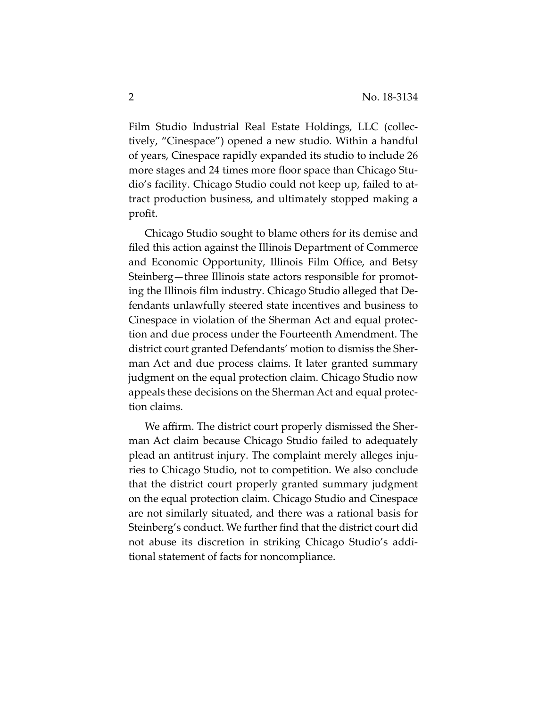Film Studio Industrial Real Estate Holdings, LLC (collectively, "Cinespace") opened a new studio. Within a handful of years, Cinespace rapidly expanded its studio to include 26 more stages and 24 times more floor space than Chicago Studio's facility. Chicago Studio could not keep up, failed to attract production business, and ultimately stopped making a profit.

Chicago Studio sought to blame others for its demise and filed this action against the Illinois Department of Commerce and Economic Opportunity, Illinois Film Office, and Betsy Steinberg—three Illinois state actors responsible for promoting the Illinois film industry. Chicago Studio alleged that Defendants unlawfully steered state incentives and business to Cinespace in violation of the Sherman Act and equal protection and due process under the Fourteenth Amendment. The district court granted Defendants' motion to dismiss the Sherman Act and due process claims. It later granted summary judgment on the equal protection claim. Chicago Studio now appeals these decisions on the Sherman Act and equal protection claims.

We affirm. The district court properly dismissed the Sherman Act claim because Chicago Studio failed to adequately plead an antitrust injury. The complaint merely alleges injuries to Chicago Studio, not to competition. We also conclude that the district court properly granted summary judgment on the equal protection claim. Chicago Studio and Cinespace are not similarly situated, and there was a rational basis for Steinberg's conduct. We further find that the district court did not abuse its discretion in striking Chicago Studio's additional statement of facts for noncompliance.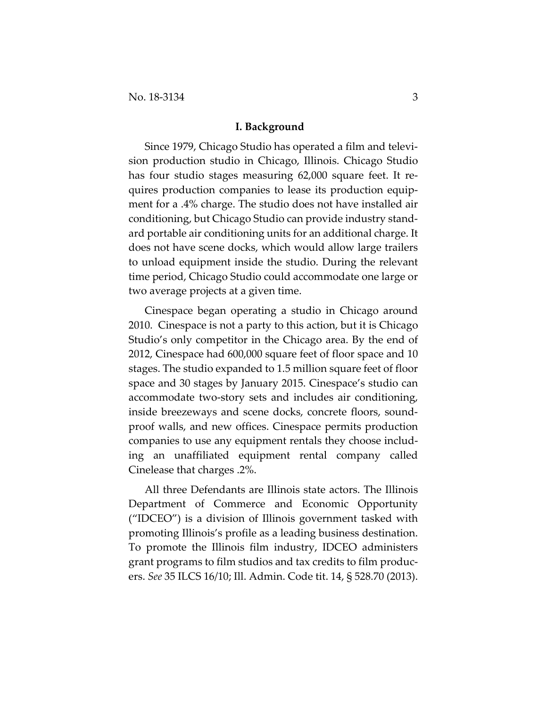#### **I. Background**

Since 1979, Chicago Studio has operated a film and television production studio in Chicago, Illinois. Chicago Studio has four studio stages measuring 62,000 square feet. It requires production companies to lease its production equipment for a .4% charge. The studio does not have installed air conditioning, but Chicago Studio can provide industry standard portable air conditioning units for an additional charge. It does not have scene docks, which would allow large trailers to unload equipment inside the studio. During the relevant time period, Chicago Studio could accommodate one large or two average projects at a given time.

Cinespace began operating a studio in Chicago around 2010. Cinespace is not a party to this action, but it is Chicago Studio's only competitor in the Chicago area. By the end of 2012, Cinespace had 600,000 square feet of floor space and 10 stages. The studio expanded to 1.5 million square feet of floor space and 30 stages by January 2015. Cinespace's studio can accommodate two-story sets and includes air conditioning, inside breezeways and scene docks, concrete floors, soundproof walls, and new offices. Cinespace permits production companies to use any equipment rentals they choose including an unaffiliated equipment rental company called Cinelease that charges .2%.

All three Defendants are Illinois state actors. The Illinois Department of Commerce and Economic Opportunity ("IDCEO") is a division of Illinois government tasked with promoting Illinois's profile as a leading business destination. To promote the Illinois film industry, IDCEO administers grant programs to film studios and tax credits to film producers. *See* 35 ILCS 16/10; Ill. Admin. Code tit. 14, § 528.70 (2013).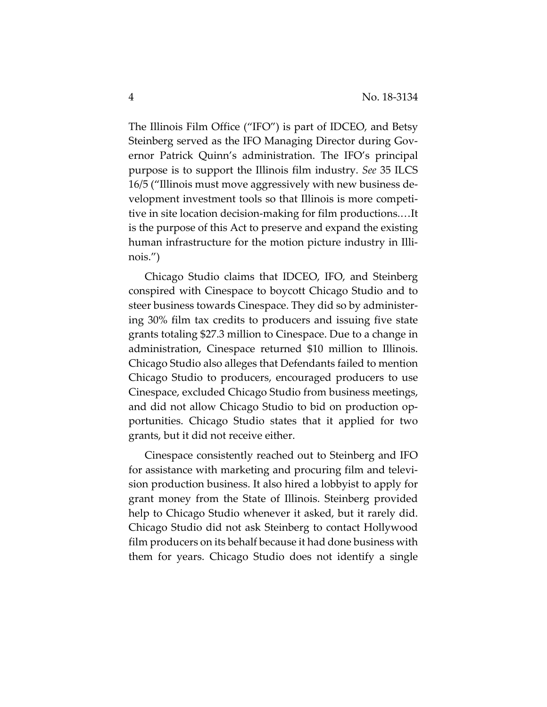The Illinois Film Office ("IFO") is part of IDCEO, and Betsy Steinberg served as the IFO Managing Director during Governor Patrick Quinn's administration. The IFO's principal purpose is to support the Illinois film industry. *See* 35 ILCS 16/5 ("Illinois must move aggressively with new business development investment tools so that Illinois is more competitive in site location decision-making for film productions.…It is the purpose of this Act to preserve and expand the existing human infrastructure for the motion picture industry in Illinois.")

Chicago Studio claims that IDCEO, IFO, and Steinberg conspired with Cinespace to boycott Chicago Studio and to steer business towards Cinespace. They did so by administering 30% film tax credits to producers and issuing five state grants totaling \$27.3 million to Cinespace. Due to a change in administration, Cinespace returned \$10 million to Illinois. Chicago Studio also alleges that Defendants failed to mention Chicago Studio to producers, encouraged producers to use Cinespace, excluded Chicago Studio from business meetings, and did not allow Chicago Studio to bid on production opportunities. Chicago Studio states that it applied for two grants, but it did not receive either.

Cinespace consistently reached out to Steinberg and IFO for assistance with marketing and procuring film and television production business. It also hired a lobbyist to apply for grant money from the State of Illinois. Steinberg provided help to Chicago Studio whenever it asked, but it rarely did. Chicago Studio did not ask Steinberg to contact Hollywood film producers on its behalf because it had done business with them for years. Chicago Studio does not identify a single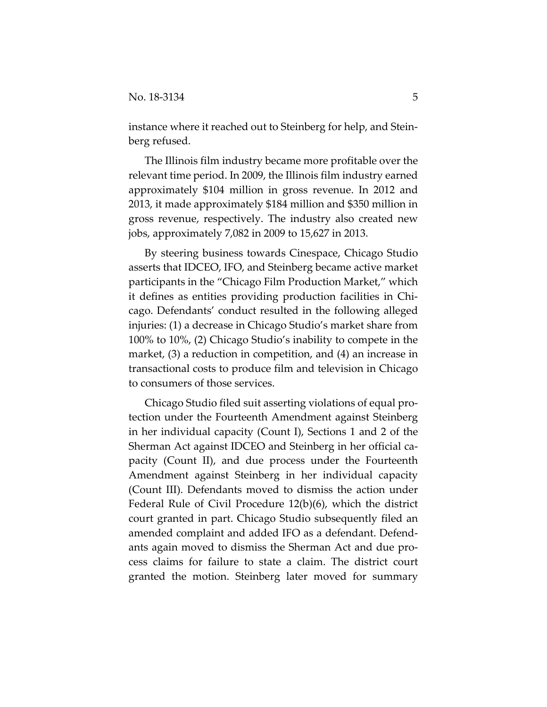instance where it reached out to Steinberg for help, and Steinberg refused.

The Illinois film industry became more profitable over the relevant time period. In 2009, the Illinois film industry earned approximately \$104 million in gross revenue. In 2012 and 2013, it made approximately \$184 million and \$350 million in gross revenue, respectively. The industry also created new jobs, approximately 7,082 in 2009 to 15,627 in 2013.

By steering business towards Cinespace, Chicago Studio asserts that IDCEO, IFO, and Steinberg became active market participants in the "Chicago Film Production Market," which it defines as entities providing production facilities in Chicago. Defendants' conduct resulted in the following alleged injuries: (1) a decrease in Chicago Studio's market share from 100% to 10%, (2) Chicago Studio's inability to compete in the market, (3) a reduction in competition, and (4) an increase in transactional costs to produce film and television in Chicago to consumers of those services.

Chicago Studio filed suit asserting violations of equal protection under the Fourteenth Amendment against Steinberg in her individual capacity (Count I), Sections 1 and 2 of the Sherman Act against IDCEO and Steinberg in her official capacity (Count II), and due process under the Fourteenth Amendment against Steinberg in her individual capacity (Count III). Defendants moved to dismiss the action under Federal Rule of Civil Procedure 12(b)(6), which the district court granted in part. Chicago Studio subsequently filed an amended complaint and added IFO as a defendant. Defendants again moved to dismiss the Sherman Act and due process claims for failure to state a claim. The district court granted the motion. Steinberg later moved for summary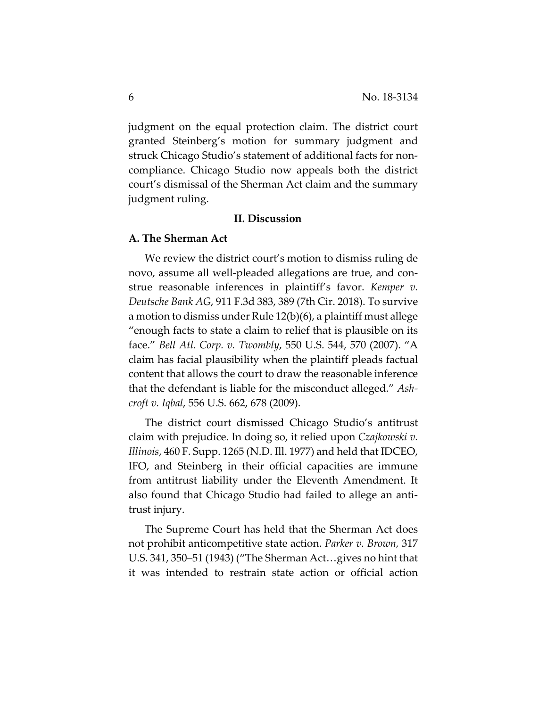judgment on the equal protection claim. The district court granted Steinberg's motion for summary judgment and struck Chicago Studio's statement of additional facts for noncompliance. Chicago Studio now appeals both the district court's dismissal of the Sherman Act claim and the summary judgment ruling.

## **II. Discussion**

#### **A. The Sherman Act**

We review the district court's motion to dismiss ruling de novo, assume all well-pleaded allegations are true, and construe reasonable inferences in plaintiff's favor. *Kemper v. Deutsche Bank AG*, 911 F.3d 383, 389 (7th Cir. 2018). To survive a motion to dismiss under Rule 12(b)(6), a plaintiff must allege "enough facts to state a claim to relief that is plausible on its face." *Bell Atl. Corp. v. Twombly*, 550 U.S. 544, 570 (2007). "A claim has facial plausibility when the plaintiff pleads factual content that allows the court to draw the reasonable inference that the defendant is liable for the misconduct alleged." *Ashcroft v. Iqbal*, 556 U.S. 662, 678 (2009).

The district court dismissed Chicago Studio's antitrust claim with prejudice. In doing so, it relied upon *Czajkowski v. Illinois*, 460 F. Supp. 1265 (N.D. Ill. 1977) and held that IDCEO, IFO, and Steinberg in their official capacities are immune from antitrust liability under the Eleventh Amendment. It also found that Chicago Studio had failed to allege an antitrust injury.

The Supreme Court has held that the Sherman Act does not prohibit anticompetitive state action. *Parker v. Brown,* 317 U.S. 341, 350–51 (1943) ("The Sherman Act…gives no hint that it was intended to restrain state action or official action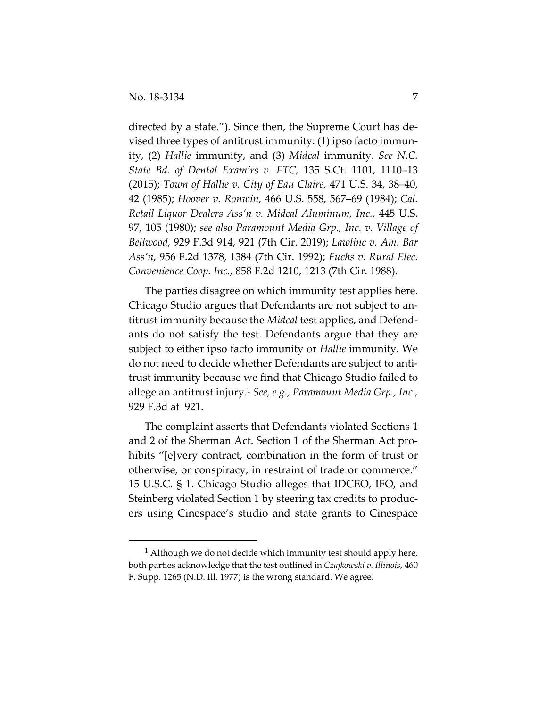-

directed by a state."). Since then, the Supreme Court has devised three types of antitrust immunity: (1) ipso facto immunity, (2) *Hallie* immunity, and (3) *Midcal* immunity. *See N.C. State Bd. of Dental Exam'rs v. FTC,* 135 S.Ct. 1101, 1110–13 (2015); *Town of Hallie v. City of Eau Claire,* 471 U.S. 34, 38–40, 42 (1985); *Hoover v. Ronwin,* 466 U.S. 558, 567–69 (1984); *Cal. Retail Liquor Dealers Ass'n v. Midcal Aluminum, Inc.*, 445 U.S. 97, 105 (1980); *see also Paramount Media Grp., Inc. v. Village of Bellwood,* 929 F.3d 914, 921 (7th Cir. 2019); *Lawline v. Am. Bar Ass'n,* 956 F.2d 1378, 1384 (7th Cir. 1992); *Fuchs v. Rural Elec. Convenience Coop. Inc.,* 858 F.2d 1210, 1213 (7th Cir. 1988).

The parties disagree on which immunity test applies here. Chicago Studio argues that Defendants are not subject to antitrust immunity because the *Midcal* test applies, and Defendants do not satisfy the test. Defendants argue that they are subject to either ipso facto immunity or *Hallie* immunity. We do not need to decide whether Defendants are subject to antitrust immunity because we find that Chicago Studio failed to allege an antitrust injury.1 *See, e.g., Paramount Media Grp., Inc.,*  929 F.3d at 921.

The complaint asserts that Defendants violated Sections 1 and 2 of the Sherman Act. Section 1 of the Sherman Act prohibits "[e]very contract, combination in the form of trust or otherwise, or conspiracy, in restraint of trade or commerce." 15 U.S.C. § 1. Chicago Studio alleges that IDCEO, IFO, and Steinberg violated Section 1 by steering tax credits to producers using Cinespace's studio and state grants to Cinespace

 $1$  Although we do not decide which immunity test should apply here, both parties acknowledge that the test outlined in *Czajkowski v. Illinois*, 460 F. Supp. 1265 (N.D. Ill. 1977) is the wrong standard. We agree.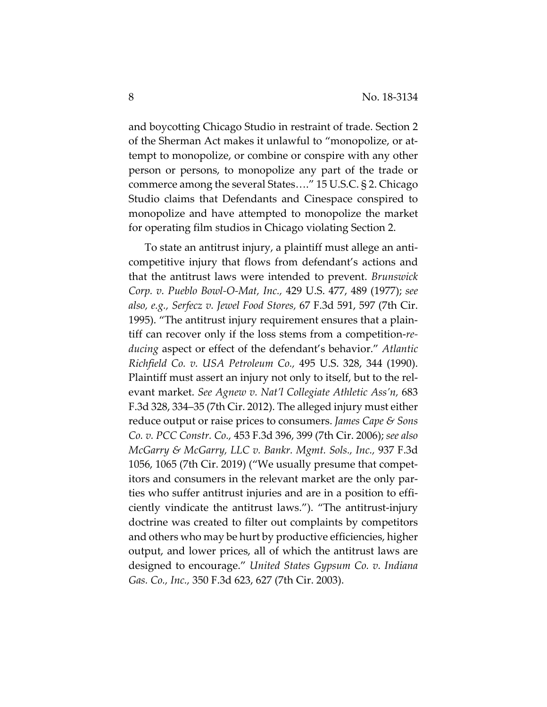and boycotting Chicago Studio in restraint of trade. Section 2 of the Sherman Act makes it unlawful to "monopolize, or attempt to monopolize, or combine or conspire with any other person or persons, to monopolize any part of the trade or commerce among the several States…." 15 U.S.C. § 2. Chicago Studio claims that Defendants and Cinespace conspired to monopolize and have attempted to monopolize the market for operating film studios in Chicago violating Section 2.

To state an antitrust injury, a plaintiff must allege an anticompetitive injury that flows from defendant's actions and that the antitrust laws were intended to prevent. *Brunswick Corp. v. Pueblo Bowl-O-Mat, Inc.,* 429 U.S. 477, 489 (1977); *see also, e.g., Serfecz v. Jewel Food Stores,* 67 F.3d 591, 597 (7th Cir. 1995). "The antitrust injury requirement ensures that a plaintiff can recover only if the loss stems from a competition-*reducing* aspect or effect of the defendant's behavior." *Atlantic Richfield Co. v. USA Petroleum Co.,* 495 U.S. 328, 344 (1990). Plaintiff must assert an injury not only to itself, but to the relevant market. *See Agnew v. Nat'l Collegiate Athletic Ass'n,* 683 F.3d 328, 334–35 (7th Cir. 2012). The alleged injury must either reduce output or raise prices to consumers. *James Cape & Sons Co. v. PCC Constr. Co.,* 453 F.3d 396, 399 (7th Cir. 2006); *see also McGarry & McGarry, LLC v. Bankr. Mgmt. Sols., Inc.,* 937 F.3d 1056, 1065 (7th Cir. 2019) ("We usually presume that competitors and consumers in the relevant market are the only parties who suffer antitrust injuries and are in a position to efficiently vindicate the antitrust laws."). "The antitrust-injury doctrine was created to filter out complaints by competitors and others who may be hurt by productive efficiencies, higher output, and lower prices, all of which the antitrust laws are designed to encourage." *United States Gypsum Co. v. Indiana Gas. Co., Inc.,* 350 F.3d 623, 627 (7th Cir. 2003).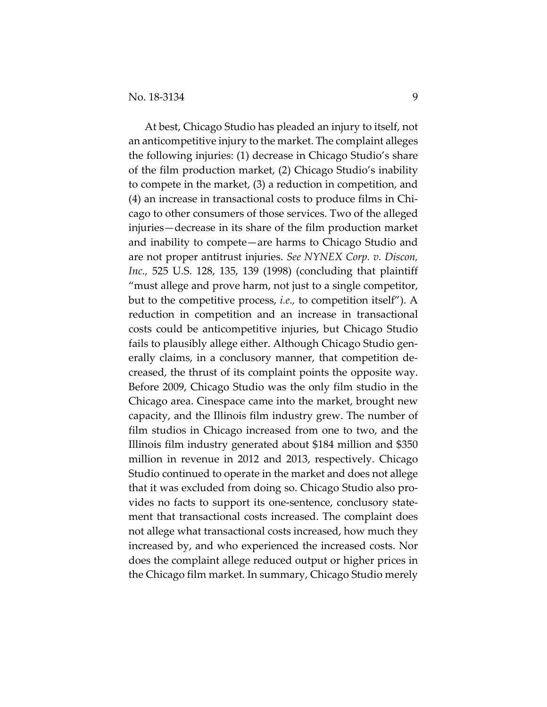At best, Chicago Studio has pleaded an injury to itself, not an anticompetitive injury to the market. The complaint alleges the following injuries: (1) decrease in Chicago Studio's share of the film production market, (2) Chicago Studio's inability to compete in the market, (3) a reduction in competition, and (4) an increase in transactional costs to produce films in Chicago to other consumers of those services. Two of the alleged injuries—decrease in its share of the film production market and inability to compete—are harms to Chicago Studio and are not proper antitrust injuries. *See NYNEX Corp. v. Discon, Inc.,* 525 U.S. 128, 135, 139 (1998) (concluding that plaintiff "must allege and prove harm, not just to a single competitor, but to the competitive process, *i.e.,* to competition itself"). A reduction in competition and an increase in transactional costs could be anticompetitive injuries, but Chicago Studio fails to plausibly allege either. Although Chicago Studio generally claims, in a conclusory manner, that competition decreased, the thrust of its complaint points the opposite way. Before 2009, Chicago Studio was the only film studio in the Chicago area. Cinespace came into the market, brought new capacity, and the Illinois film industry grew. The number of film studios in Chicago increased from one to two, and the Illinois film industry generated about \$184 million and \$350 million in revenue in 2012 and 2013, respectively. Chicago Studio continued to operate in the market and does not allege that it was excluded from doing so. Chicago Studio also provides no facts to support its one-sentence, conclusory statement that transactional costs increased. The complaint does not allege what transactional costs increased, how much they increased by, and who experienced the increased costs. Nor does the complaint allege reduced output or higher prices in the Chicago film market. In summary, Chicago Studio merely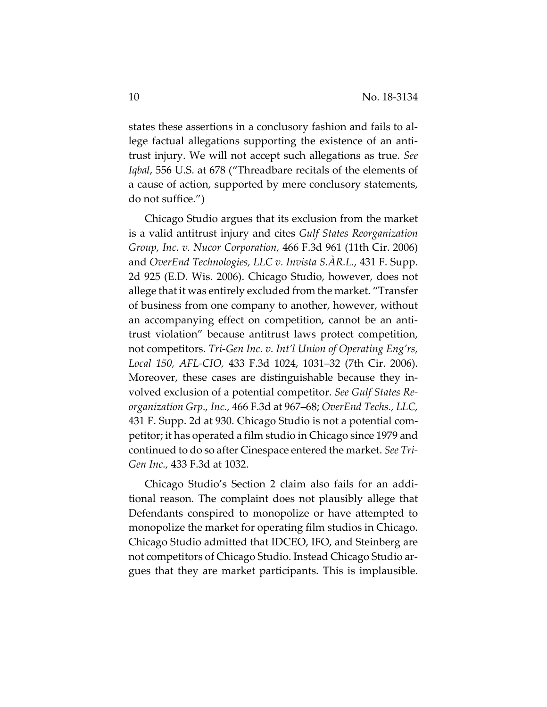states these assertions in a conclusory fashion and fails to allege factual allegations supporting the existence of an antitrust injury. We will not accept such allegations as true. *See Iqbal*, 556 U.S. at 678 ("Threadbare recitals of the elements of a cause of action, supported by mere conclusory statements, do not suffice.")

Chicago Studio argues that its exclusion from the market is a valid antitrust injury and cites *Gulf States Reorganization Group, Inc. v. Nucor Corporation,* 466 F.3d 961 (11th Cir. 2006) and *OverEnd Technologies, LLC v. Invista S.ÀR.L.,* 431 F. Supp. 2d 925 (E.D. Wis. 2006). Chicago Studio, however, does not allege that it was entirely excluded from the market. "Transfer of business from one company to another, however, without an accompanying effect on competition, cannot be an antitrust violation" because antitrust laws protect competition, not competitors. *Tri-Gen Inc. v. Int'l Union of Operating Eng'rs, Local 150, AFL-CIO,* 433 F.3d 1024, 1031–32 (7th Cir. 2006). Moreover, these cases are distinguishable because they involved exclusion of a potential competitor. *See Gulf States Reorganization Grp., Inc.,* 466 F.3d at 967–68; *OverEnd Techs., LLC,*  431 F. Supp. 2d at 930. Chicago Studio is not a potential competitor; it has operated a film studio in Chicago since 1979 and continued to do so after Cinespace entered the market. *See Tri-Gen Inc.,* 433 F.3d at 1032.

Chicago Studio's Section 2 claim also fails for an additional reason. The complaint does not plausibly allege that Defendants conspired to monopolize or have attempted to monopolize the market for operating film studios in Chicago. Chicago Studio admitted that IDCEO, IFO, and Steinberg are not competitors of Chicago Studio. Instead Chicago Studio argues that they are market participants. This is implausible.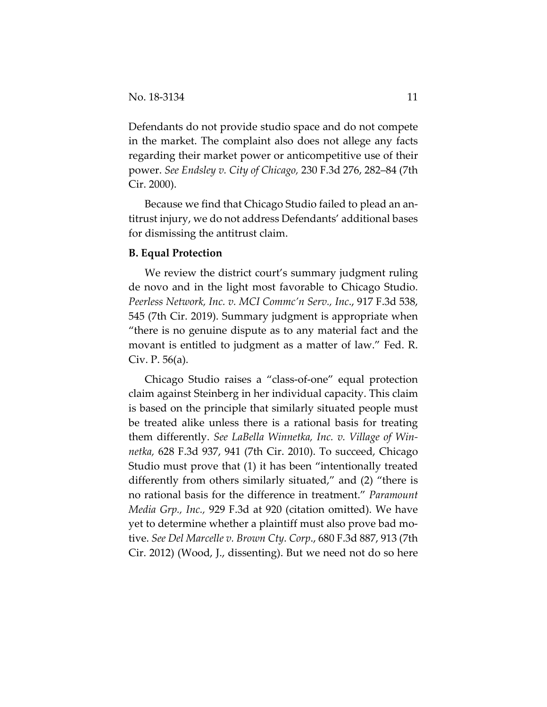Defendants do not provide studio space and do not compete in the market. The complaint also does not allege any facts regarding their market power or anticompetitive use of their power. *See Endsley v. City of Chicago,* 230 F.3d 276, 282–84 (7th Cir. 2000).

Because we find that Chicago Studio failed to plead an antitrust injury, we do not address Defendants' additional bases for dismissing the antitrust claim.

## **B. Equal Protection**

We review the district court's summary judgment ruling de novo and in the light most favorable to Chicago Studio. *Peerless Network, Inc. v. MCI Commc'n Serv., Inc*., 917 F.3d 538, 545 (7th Cir. 2019). Summary judgment is appropriate when "there is no genuine dispute as to any material fact and the movant is entitled to judgment as a matter of law." Fed. R. Civ. P. 56(a).

Chicago Studio raises a "class-of-one" equal protection claim against Steinberg in her individual capacity. This claim is based on the principle that similarly situated people must be treated alike unless there is a rational basis for treating them differently. *See LaBella Winnetka, Inc. v. Village of Winnetka,* 628 F.3d 937, 941 (7th Cir. 2010). To succeed, Chicago Studio must prove that (1) it has been "intentionally treated differently from others similarly situated," and (2) "there is no rational basis for the difference in treatment." *Paramount Media Grp., Inc.,* 929 F.3d at 920 (citation omitted). We have yet to determine whether a plaintiff must also prove bad motive. *See Del Marcelle v. Brown Cty. Corp*., 680 F.3d 887, 913 (7th Cir. 2012) (Wood, J., dissenting). But we need not do so here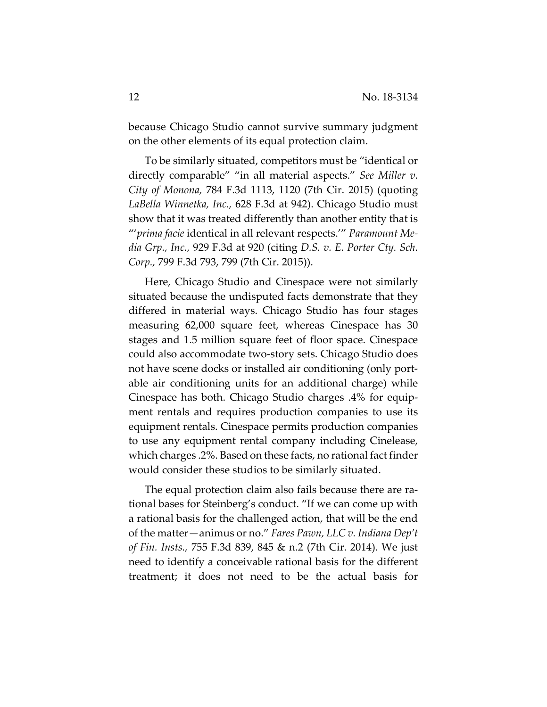because Chicago Studio cannot survive summary judgment on the other elements of its equal protection claim.

To be similarly situated, competitors must be "identical or directly comparable" "in all material aspects." *See Miller v. City of Monona,* 784 F.3d 1113, 1120 (7th Cir. 2015) (quoting *LaBella Winnetka, Inc.,* 628 F.3d at 942). Chicago Studio must show that it was treated differently than another entity that is "'*prima facie* identical in all relevant respects.'" *Paramount Media Grp., Inc.,* 929 F.3d at 920 (citing *D.S. v. E. Porter Cty. Sch. Corp.,* 799 F.3d 793, 799 (7th Cir. 2015)).

Here, Chicago Studio and Cinespace were not similarly situated because the undisputed facts demonstrate that they differed in material ways. Chicago Studio has four stages measuring 62,000 square feet, whereas Cinespace has 30 stages and 1.5 million square feet of floor space. Cinespace could also accommodate two-story sets. Chicago Studio does not have scene docks or installed air conditioning (only portable air conditioning units for an additional charge) while Cinespace has both. Chicago Studio charges .4% for equipment rentals and requires production companies to use its equipment rentals. Cinespace permits production companies to use any equipment rental company including Cinelease, which charges .2%. Based on these facts, no rational fact finder would consider these studios to be similarly situated.

The equal protection claim also fails because there are rational bases for Steinberg's conduct. "If we can come up with a rational basis for the challenged action, that will be the end of the matter—animus or no." *Fares Pawn, LLC v. Indiana Dep't of Fin. Insts.,* 755 F.3d 839, 845 & n.2 (7th Cir. 2014). We just need to identify a conceivable rational basis for the different treatment; it does not need to be the actual basis for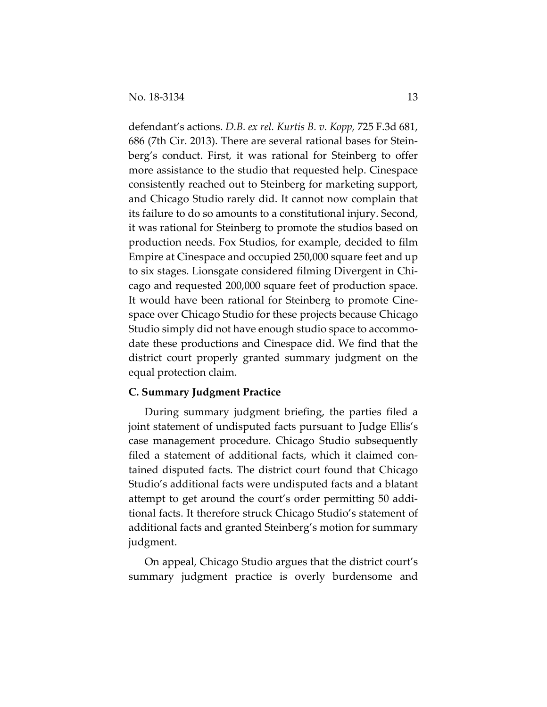defendant's actions. *D.B. ex rel. Kurtis B. v. Kopp,* 725 F.3d 681, 686 (7th Cir. 2013). There are several rational bases for Steinberg's conduct. First, it was rational for Steinberg to offer more assistance to the studio that requested help. Cinespace consistently reached out to Steinberg for marketing support, and Chicago Studio rarely did. It cannot now complain that its failure to do so amounts to a constitutional injury. Second, it was rational for Steinberg to promote the studios based on production needs. Fox Studios, for example, decided to film Empire at Cinespace and occupied 250,000 square feet and up to six stages. Lionsgate considered filming Divergent in Chicago and requested 200,000 square feet of production space. It would have been rational for Steinberg to promote Cinespace over Chicago Studio for these projects because Chicago Studio simply did not have enough studio space to accommodate these productions and Cinespace did. We find that the district court properly granted summary judgment on the equal protection claim.

### **C. Summary Judgment Practice**

During summary judgment briefing, the parties filed a joint statement of undisputed facts pursuant to Judge Ellis's case management procedure. Chicago Studio subsequently filed a statement of additional facts, which it claimed contained disputed facts. The district court found that Chicago Studio's additional facts were undisputed facts and a blatant attempt to get around the court's order permitting 50 additional facts. It therefore struck Chicago Studio's statement of additional facts and granted Steinberg's motion for summary judgment.

On appeal, Chicago Studio argues that the district court's summary judgment practice is overly burdensome and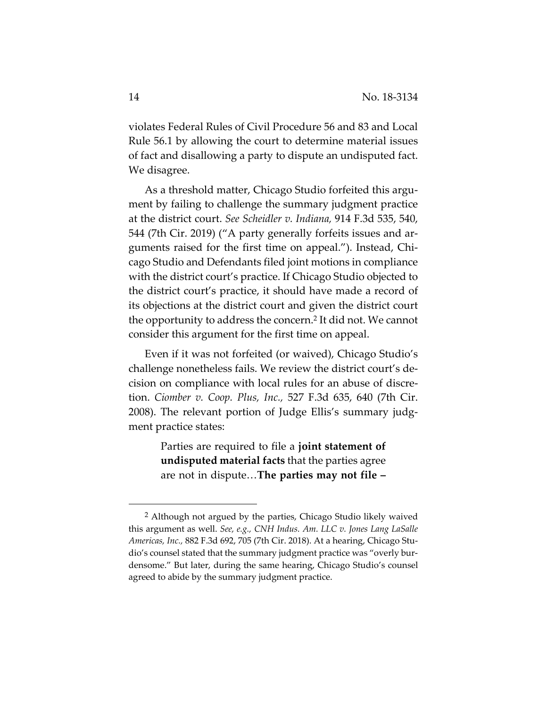violates Federal Rules of Civil Procedure 56 and 83 and Local Rule 56.1 by allowing the court to determine material issues of fact and disallowing a party to dispute an undisputed fact. We disagree.

As a threshold matter, Chicago Studio forfeited this argument by failing to challenge the summary judgment practice at the district court. *See Scheidler v. Indiana,* 914 F.3d 535, 540, 544 (7th Cir. 2019) ("A party generally forfeits issues and arguments raised for the first time on appeal."). Instead, Chicago Studio and Defendants filed joint motions in compliance with the district court's practice. If Chicago Studio objected to the district court's practice, it should have made a record of its objections at the district court and given the district court the opportunity to address the concern.2 It did not. We cannot consider this argument for the first time on appeal.

Even if it was not forfeited (or waived), Chicago Studio's challenge nonetheless fails. We review the district court's decision on compliance with local rules for an abuse of discretion. *Ciomber v. Coop. Plus, Inc.,* 527 F.3d 635, 640 (7th Cir. 2008). The relevant portion of Judge Ellis's summary judgment practice states:

> Parties are required to file a **joint statement of undisputed material facts** that the parties agree are not in dispute…**The parties may not file –**

 <sup>2</sup> Although not argued by the parties, Chicago Studio likely waived this argument as well. *See, e.g., CNH Indus. Am. LLC v. Jones Lang LaSalle Americas, Inc.,* 882 F.3d 692, 705 (7th Cir. 2018). At a hearing, Chicago Studio's counsel stated that the summary judgment practice was "overly burdensome." But later, during the same hearing, Chicago Studio's counsel agreed to abide by the summary judgment practice.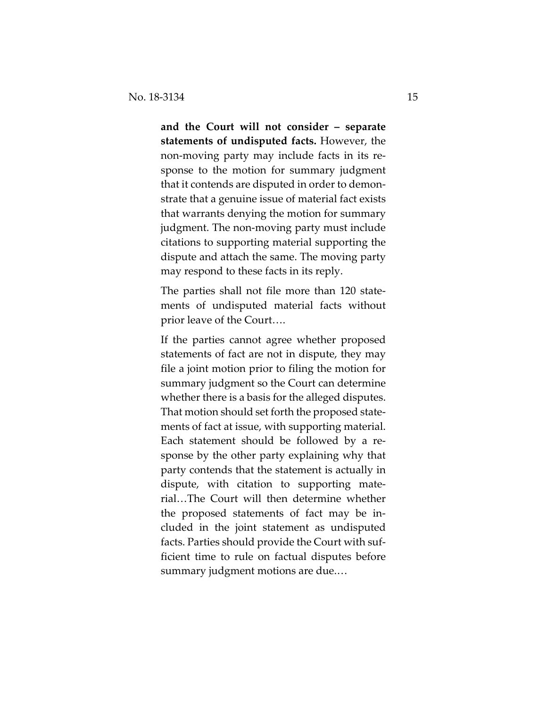**and the Court will not consider – separate statements of undisputed facts.** However, the non-moving party may include facts in its response to the motion for summary judgment that it contends are disputed in order to demonstrate that a genuine issue of material fact exists that warrants denying the motion for summary judgment. The non-moving party must include citations to supporting material supporting the dispute and attach the same. The moving party may respond to these facts in its reply.

The parties shall not file more than 120 statements of undisputed material facts without prior leave of the Court….

If the parties cannot agree whether proposed statements of fact are not in dispute, they may file a joint motion prior to filing the motion for summary judgment so the Court can determine whether there is a basis for the alleged disputes. That motion should set forth the proposed statements of fact at issue, with supporting material. Each statement should be followed by a response by the other party explaining why that party contends that the statement is actually in dispute, with citation to supporting material…The Court will then determine whether the proposed statements of fact may be included in the joint statement as undisputed facts. Parties should provide the Court with sufficient time to rule on factual disputes before summary judgment motions are due.…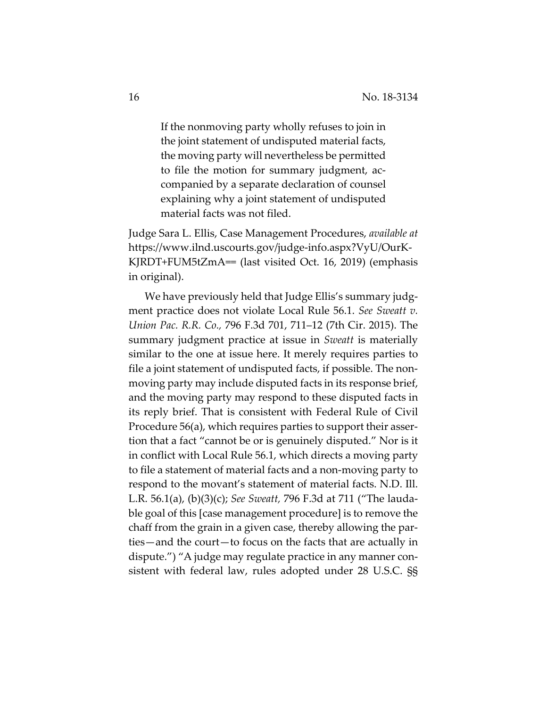If the nonmoving party wholly refuses to join in the joint statement of undisputed material facts, the moving party will nevertheless be permitted to file the motion for summary judgment, accompanied by a separate declaration of counsel explaining why a joint statement of undisputed material facts was not filed.

Judge Sara L. Ellis, Case Management Procedures, *available at*  https://www.ilnd.uscourts.gov/judge-info.aspx?VyU/OurK-KJRDT+FUM5tZmA== (last visited Oct. 16, 2019) (emphasis in original).

We have previously held that Judge Ellis's summary judgment practice does not violate Local Rule 56.1. *See Sweatt v. Union Pac. R.R. Co.,* 796 F.3d 701, 711–12 (7th Cir. 2015). The summary judgment practice at issue in *Sweatt* is materially similar to the one at issue here. It merely requires parties to file a joint statement of undisputed facts, if possible. The nonmoving party may include disputed facts in its response brief, and the moving party may respond to these disputed facts in its reply brief. That is consistent with Federal Rule of Civil Procedure 56(a), which requires parties to support their assertion that a fact "cannot be or is genuinely disputed." Nor is it in conflict with Local Rule 56.1, which directs a moving party to file a statement of material facts and a non-moving party to respond to the movant's statement of material facts. N.D. Ill. L.R. 56.1(a), (b)(3)(c); *See Sweatt,* 796 F.3d at 711 ("The laudable goal of this [case management procedure] is to remove the chaff from the grain in a given case, thereby allowing the parties—and the court—to focus on the facts that are actually in dispute.") "A judge may regulate practice in any manner consistent with federal law, rules adopted under 28 U.S.C. §§